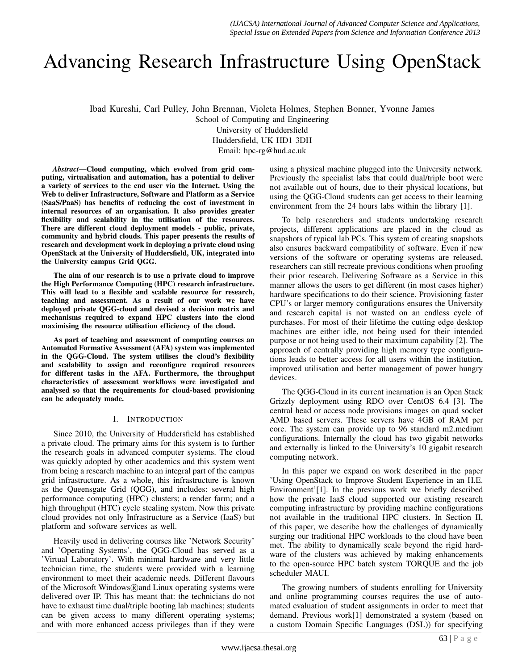# Advancing Research Infrastructure Using OpenStack

Ibad Kureshi, Carl Pulley, John Brennan, Violeta Holmes, Stephen Bonner, Yvonne James

School of Computing and Engineering

University of Huddersfield

Huddersfield, UK HD1 3DH

Email: hpc-rg@hud.ac.uk

*Abstract*—Cloud computing, which evolved from grid computing, virtualisation and automation, has a potential to deliver a variety of services to the end user via the Internet. Using the Web to deliver Infrastructure, Software and Platform as a Service (SaaS/PaaS) has benefits of reducing the cost of investment in internal resources of an organisation. It also provides greater flexibility and scalability in the utilisation of the resources. There are different cloud deployment models - public, private, community and hybrid clouds. This paper presents the results of research and development work in deploying a private cloud using OpenStack at the University of Huddersfield, UK, integrated into the University campus Grid QGG.

The aim of our research is to use a private cloud to improve the High Performance Computing (HPC) research infrastructure. This will lead to a flexible and scalable resource for research, teaching and assessment. As a result of our work we have deployed private QGG-cloud and devised a decision matrix and mechanisms required to expand HPC clusters into the cloud maximising the resource utilisation efficiency of the cloud.

As part of teaching and assessment of computing courses an Automated Formative Assessment (AFA) system was implemented in the QGG-Cloud. The system utilises the cloud's flexibility and scalability to assign and reconfigure required resources for different tasks in the AFA. Furthermore, the throughput characteristics of assessment workflows were investigated and analysed so that the requirements for cloud-based provisioning can be adequately made.

# I. INTRODUCTION

Since 2010, the University of Huddersfield has established a private cloud. The primary aims for this system is to further the research goals in advanced computer systems. The cloud was quickly adopted by other academics and this system went from being a research machine to an integral part of the campus grid infrastructure. As a whole, this infrastructure is known as the Queensgate Grid (QGG), and includes: several high performance computing (HPC) clusters; a render farm; and a high throughput (HTC) cycle stealing system. Now this private cloud provides not only Infrastructure as a Service (IaaS) but platform and software services as well.

Heavily used in delivering courses like 'Network Security' and 'Operating Systems', the QGG-Cloud has served as a 'Virtual Laboratory'. With minimal hardware and very little technician time, the students were provided with a learning environment to meet their academic needs. Different flavours of the Microsoft Windows $(\widehat{R})$  and Linux operating systems were delivered over IP. This has meant that: the technicians do not have to exhaust time dual/triple booting lab machines; students can be given access to many different operating systems; and with more enhanced access privileges than if they were

using a physical machine plugged into the University network. Previously the specialist labs that could dual/triple boot were not available out of hours, due to their physical locations, but using the QGG-Cloud students can get access to their learning environment from the 24 hours labs within the library [1].

To help researchers and students undertaking research projects, different applications are placed in the cloud as snapshots of typical lab PCs. This system of creating snapshots also ensures backward compatibility of software. Even if new versions of the software or operating systems are released, researchers can still recreate previous conditions when proofing their prior research. Delivering Software as a Service in this manner allows the users to get different (in most cases higher) hardware specifications to do their science. Provisioning faster CPU's or larger memory configurations ensures the University and research capital is not wasted on an endless cycle of purchases. For most of their lifetime the cutting edge desktop machines are either idle, not being used for their intended purpose or not being used to their maximum capability [2]. The approach of centrally providing high memory type configurations leads to better access for all users within the institution, improved utilisation and better management of power hungry devices.

The QGG-Cloud in its current incarnation is an Open Stack Grizzly deployment using RDO over CentOS 6.4 [3]. The central head or access node provisions images on quad socket AMD based servers. These servers have 4GB of RAM per core. The system can provide up to 96 standard m2.medium configurations. Internally the cloud has two gigabit networks and externally is linked to the University's 10 gigabit research computing network.

In this paper we expand on work described in the paper 'Using OpenStack to Improve Student Experience in an H.E. Environment'[1]. In the previous work we briefly described how the private IaaS cloud supported our existing research computing infrastructure by providing machine configurations not available in the traditional HPC clusters. In Section II, of this paper, we describe how the challenges of dynamically surging our traditional HPC workloads to the cloud have been met. The ability to dynamically scale beyond the rigid hardware of the clusters was achieved by making enhancements to the open-source HPC batch system TORQUE and the job scheduler MAUI.

The growing numbers of students enrolling for University and online programming courses requires the use of automated evaluation of student assignments in order to meet that demand. Previous work[1] demonstrated a system (based on a custom Domain Specific Languages (DSL)) for specifying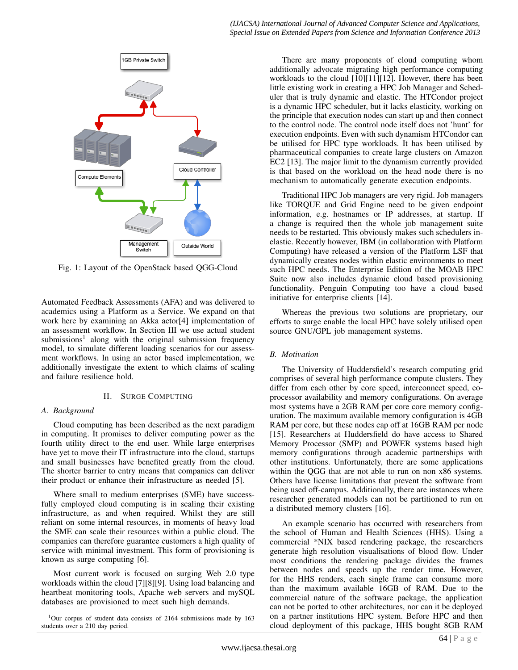

Fig. 1: Layout of the OpenStack based QGG-Cloud

Automated Feedback Assessments (AFA) and was delivered to academics using a Platform as a Service. We expand on that work here by examining an Akka actor[4] implementation of an assessment workflow. In Section III we use actual student submissions<sup>1</sup> along with the original submission frequency model, to simulate different loading scenarios for our assessment workflows. In using an actor based implementation, we additionally investigate the extent to which claims of scaling and failure resilience hold.

## II. SURGE COMPUTING

## *A. Background*

Cloud computing has been described as the next paradigm in computing. It promises to deliver computing power as the fourth utility direct to the end user. While large enterprises have yet to move their IT infrastructure into the cloud, startups and small businesses have benefited greatly from the cloud. The shorter barrier to entry means that companies can deliver their product or enhance their infrastructure as needed [5].

Where small to medium enterprises (SME) have successfully employed cloud computing is in scaling their existing infrastructure, as and when required. Whilst they are still reliant on some internal resources, in moments of heavy load the SME can scale their resources within a public cloud. The companies can therefore guarantee customers a high quality of service with minimal investment. This form of provisioning is known as surge computing [6].

Most current work is focused on surging Web 2.0 type workloads within the cloud [7][8][9]. Using load balancing and heartbeat monitoring tools, Apache web servers and mySQL databases are provisioned to meet such high demands.

There are many proponents of cloud computing whom additionally advocate migrating high performance computing workloads to the cloud [10][11][12]. However, there has been little existing work in creating a HPC Job Manager and Scheduler that is truly dynamic and elastic. The HTCondor project is a dynamic HPC scheduler, but it lacks elasticity, working on the principle that execution nodes can start up and then connect to the control node. The control node itself does not 'hunt' for execution endpoints. Even with such dynamism HTCondor can be utilised for HPC type workloads. It has been utilised by pharmaceutical companies to create large clusters on Amazon EC2 [13]. The major limit to the dynamism currently provided is that based on the workload on the head node there is no mechanism to automatically generate execution endpoints.

Traditional HPC Job managers are very rigid. Job managers like TORQUE and Grid Engine need to be given endpoint information, e.g. hostnames or IP addresses, at startup. If a change is required then the whole job management suite needs to be restarted. This obviously makes such schedulers inelastic. Recently however, IBM (in collaboration with Platform Computing) have released a version of the Platform LSF that dynamically creates nodes within elastic environments to meet such HPC needs. The Enterprise Edition of the MOAB HPC Suite now also includes dynamic cloud based provisioning functionality. Penguin Computing too have a cloud based initiative for enterprise clients [14].

Whereas the previous two solutions are proprietary, our efforts to surge enable the local HPC have solely utilised open source GNU/GPL job management systems.

## *B. Motivation*

The University of Huddersfield's research computing grid comprises of several high performance compute clusters. They differ from each other by core speed, interconnect speed, coprocessor availability and memory configurations. On average most systems have a 2GB RAM per core core memory configuration. The maximum available memory configuration is 4GB RAM per core, but these nodes cap off at 16GB RAM per node [15]. Researchers at Huddersfield do have access to Shared Memory Processor (SMP) and POWER systems based high memory configurations through academic partnerships with other institutions. Unfortunately, there are some applications within the QGG that are not able to run on non x86 systems. Others have license limitations that prevent the software from being used off-campus. Additionally, there are instances where researcher generated models can not be partitioned to run on a distributed memory clusters [16].

An example scenario has occurred with researchers from the school of Human and Health Sciences (HHS). Using a commercial \*NIX based rendering package, the researchers generate high resolution visualisations of blood flow. Under most conditions the rendering package divides the frames between nodes and speeds up the render time. However, for the HHS renders, each single frame can consume more than the maximum available 16GB of RAM. Due to the commercial nature of the software package, the application can not be ported to other architectures, nor can it be deployed on a partner institutions HPC system. Before HPC and then cloud deployment of this package, HHS bought 8GB RAM

<sup>1</sup>Our corpus of student data consists of 2164 submissions made by 163 students over a 210 day period.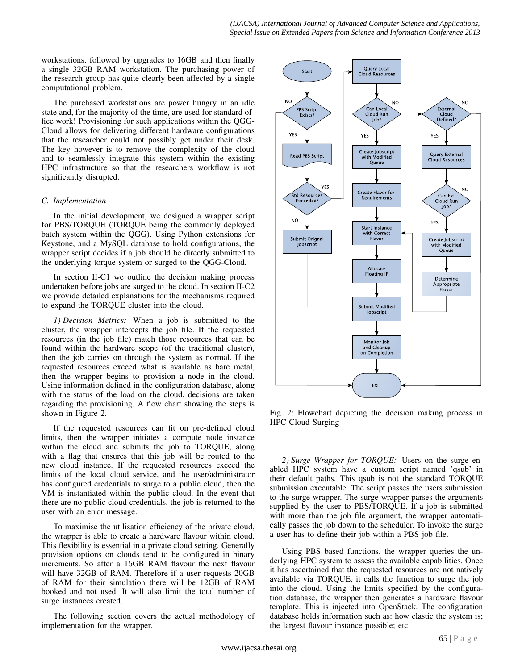workstations, followed by upgrades to 16GB and then finally a single 32GB RAM workstation. The purchasing power of the research group has quite clearly been affected by a single computational problem.

The purchased workstations are power hungry in an idle state and, for the majority of the time, are used for standard office work! Provisioning for such applications within the QGG-Cloud allows for delivering different hardware configurations that the researcher could not possibly get under their desk. The key however is to remove the complexity of the cloud and to seamlessly integrate this system within the existing HPC infrastructure so that the researchers workflow is not significantly disrupted.

# *C. Implementation*

In the initial development, we designed a wrapper script for PBS/TORQUE (TORQUE being the commonly deployed batch system within the QGG). Using Python extensions for Keystone, and a MySQL database to hold configurations, the wrapper script decides if a job should be directly submitted to the underlying torque system or surged to the QGG-Cloud.

In section II-C1 we outline the decision making process undertaken before jobs are surged to the cloud. In section II-C2 we provide detailed explanations for the mechanisms required to expand the TORQUE cluster into the cloud.

*1) Decision Metrics:* When a job is submitted to the cluster, the wrapper intercepts the job file. If the requested resources (in the job file) match those resources that can be found within the hardware scope (of the traditional cluster), then the job carries on through the system as normal. If the requested resources exceed what is available as bare metal, then the wrapper begins to provision a node in the cloud. Using information defined in the configuration database, along with the status of the load on the cloud, decisions are taken regarding the provisioning. A flow chart showing the steps is shown in Figure 2.

If the requested resources can fit on pre-defined cloud limits, then the wrapper initiates a compute node instance within the cloud and submits the job to TORQUE, along with a flag that ensures that this job will be routed to the new cloud instance. If the requested resources exceed the limits of the local cloud service, and the user/administrator has configured credentials to surge to a public cloud, then the VM is instantiated within the public cloud. In the event that there are no public cloud credentials, the job is returned to the user with an error message.

To maximise the utilisation efficiency of the private cloud, the wrapper is able to create a hardware flavour within cloud. This flexibility is essential in a private cloud setting. Generally provision options on clouds tend to be configured in binary increments. So after a 16GB RAM flavour the next flavour will have 32GB of RAM. Therefore if a user requests 20GB of RAM for their simulation there will be 12GB of RAM booked and not used. It will also limit the total number of surge instances created.

The following section covers the actual methodology of implementation for the wrapper.



Fig. 2: Flowchart depicting the decision making process in HPC Cloud Surging

*2) Surge Wrapper for TORQUE:* Users on the surge enabled HPC system have a custom script named 'qsub' in their default paths. This qsub is not the standard TORQUE submission executable. The script passes the users submission to the surge wrapper. The surge wrapper parses the arguments supplied by the user to PBS/TORQUE. If a job is submitted with more than the job file argument, the wrapper automatically passes the job down to the scheduler. To invoke the surge a user has to define their job within a PBS job file.

Using PBS based functions, the wrapper queries the underlying HPC system to assess the available capabilities. Once it has ascertained that the requested resources are not natively available via TORQUE, it calls the function to surge the job into the cloud. Using the limits specified by the configuration database, the wrapper then generates a hardware flavour template. This is injected into OpenStack. The configuration database holds information such as: how elastic the system is; the largest flavour instance possible; etc.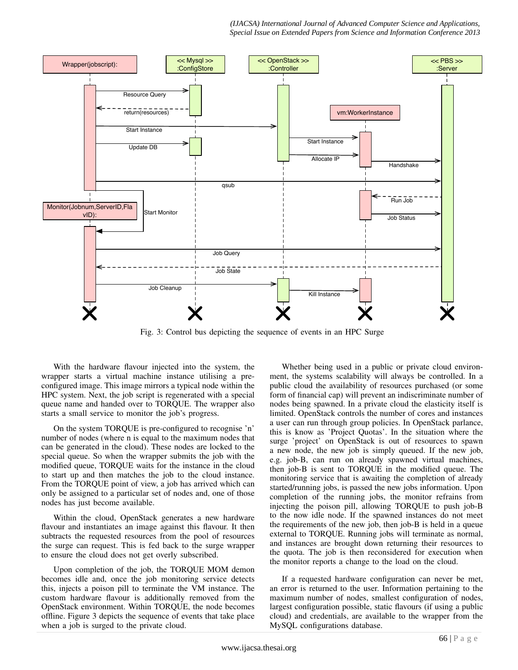

Fig. 3: Control bus depicting the sequence of events in an HPC Surge

With the hardware flavour injected into the system, the wrapper starts a virtual machine instance utilising a preconfigured image. This image mirrors a typical node within the HPC system. Next, the job script is regenerated with a special queue name and handed over to TORQUE. The wrapper also starts a small service to monitor the job's progress.

On the system TORQUE is pre-configured to recognise 'n' number of nodes (where n is equal to the maximum nodes that can be generated in the cloud). These nodes are locked to the special queue. So when the wrapper submits the job with the modified queue, TORQUE waits for the instance in the cloud to start up and then matches the job to the cloud instance. From the TORQUE point of view, a job has arrived which can only be assigned to a particular set of nodes and, one of those nodes has just become available.

Within the cloud, OpenStack generates a new hardware flavour and instantiates an image against this flavour. It then subtracts the requested resources from the pool of resources the surge can request. This is fed back to the surge wrapper to ensure the cloud does not get overly subscribed.

Upon completion of the job, the TORQUE MOM demon becomes idle and, once the job monitoring service detects this, injects a poison pill to terminate the VM instance. The custom hardware flavour is additionally removed from the OpenStack environment. Within TORQUE, the node becomes offline. Figure 3 depicts the sequence of events that take place when a job is surged to the private cloud.

Whether being used in a public or private cloud environment, the systems scalability will always be controlled. In a public cloud the availability of resources purchased (or some form of financial cap) will prevent an indiscriminate number of nodes being spawned. In a private cloud the elasticity itself is limited. OpenStack controls the number of cores and instances a user can run through group policies. In OpenStack parlance, this is know as 'Project Quotas'. In the situation where the surge 'project' on OpenStack is out of resources to spawn a new node, the new job is simply queued. If the new job, e.g. job-B, can run on already spawned virtual machines, then job-B is sent to TORQUE in the modified queue. The monitoring service that is awaiting the completion of already started/running jobs, is passed the new jobs information. Upon completion of the running jobs, the monitor refrains from injecting the poison pill, allowing TORQUE to push job-B to the now idle node. If the spawned instances do not meet the requirements of the new job, then job-B is held in a queue external to TORQUE. Running jobs will terminate as normal, and instances are brought down returning their resources to the quota. The job is then reconsidered for execution when the monitor reports a change to the load on the cloud.

If a requested hardware configuration can never be met, an error is returned to the user. Information pertaining to the maximum number of nodes, smallest configuration of nodes, largest configuration possible, static flavours (if using a public cloud) and credentials, are available to the wrapper from the MySQL configurations database.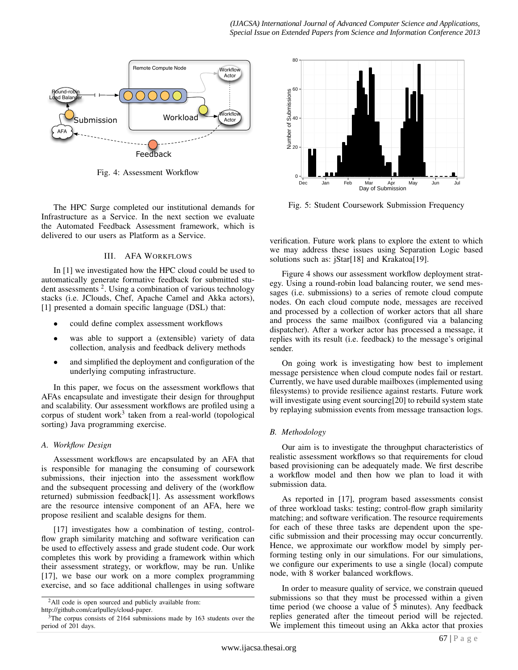

Fig. 4: Assessment Workflow

The HPC Surge completed our institutional demands for Infrastructure as a Service. In the next section we evaluate the Automated Feedback Assessment framework, which is delivered to our users as Platform as a Service.

# III. AFA WORKFLOWS

In [1] we investigated how the HPC cloud could be used to automatically generate formative feedback for submitted student assessments<sup>2</sup>. Using a combination of various technology stacks (i.e. JClouds, Chef, Apache Camel and Akka actors), [1] presented a domain specific language (DSL) that:

- could define complex assessment workflows
- was able to support a (extensible) variety of data collection, analysis and feedback delivery methods
- and simplified the deployment and configuration of the underlying computing infrastructure.

In this paper, we focus on the assessment workflows that AFAs encapsulate and investigate their design for throughput and scalability. Our assessment workflows are profiled using a corpus of student work<sup>3</sup> taken from a real-world (topological sorting) Java programming exercise.

# *A. Workflow Design*

Assessment workflows are encapsulated by an AFA that is responsible for managing the consuming of coursework submissions, their injection into the assessment workflow and the subsequent processing and delivery of the (workflow returned) submission feedback[1]. As assessment workflows are the resource intensive component of an AFA, here we propose resilient and scalable designs for them.

[17] investigates how a combination of testing, controlflow graph similarity matching and software verification can be used to effectively assess and grade student code. Our work completes this work by providing a framework within which their assessment strategy, or workflow, may be run. Unlike [17], we base our work on a more complex programming exercise, and so face additional challenges in using software



Fig. 5: Student Coursework Submission Frequency

verification. Future work plans to explore the extent to which we may address these issues using Separation Logic based solutions such as: jStar[18] and Krakatoa[19].

Figure 4 shows our assessment workflow deployment strategy. Using a round-robin load balancing router, we send messages (i.e. submissions) to a series of remote cloud compute nodes. On each cloud compute node, messages are received and processed by a collection of worker actors that all share and process the same mailbox (configured via a balancing dispatcher). After a worker actor has processed a message, it replies with its result (i.e. feedback) to the message's original sender.

On going work is investigating how best to implement message persistence when cloud compute nodes fail or restart. Currently, we have used durable mailboxes (implemented using filesystems) to provide resilience against restarts. Future work will investigate using event sourcing[20] to rebuild system state by replaying submission events from message transaction logs.

# *B. Methodology*

Our aim is to investigate the throughput characteristics of realistic assessment workflows so that requirements for cloud based provisioning can be adequately made. We first describe a workflow model and then how we plan to load it with submission data.

As reported in [17], program based assessments consist of three workload tasks: testing; control-flow graph similarity matching; and software verification. The resource requirements for each of these three tasks are dependent upon the specific submission and their processing may occur concurrently. Hence, we approximate our workflow model by simply performing testing only in our simulations. For our simulations, we configure our experiments to use a single (local) compute node, with 8 worker balanced workflows.

In order to measure quality of service, we constrain queued submissions so that they must be processed within a given time period (we choose a value of 5 minutes). Any feedback replies generated after the timeout period will be rejected. We implement this timeout using an Akka actor that proxies

<sup>&</sup>lt;sup>2</sup>All code is open sourced and publicly available from:

http://github.com/carlpulley/cloud-paper.

 $3$ The corpus consists of 2164 submissions made by 163 students over the period of 201 days.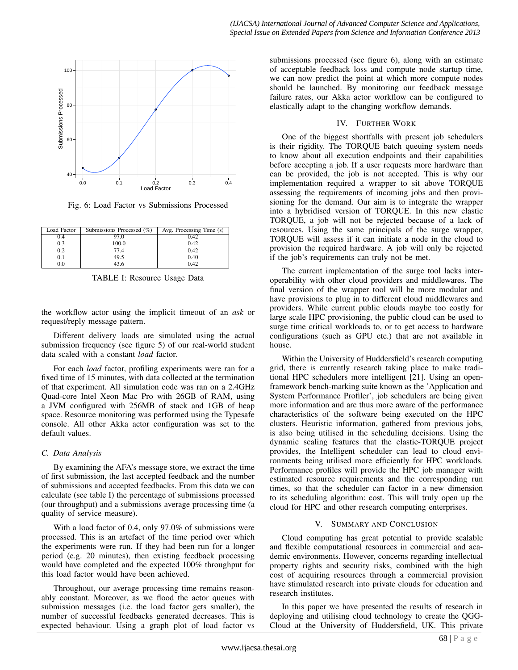

Fig. 6: Load Factor vs Submissions Processed

| Load Factor | Submissions Processed (%) | Avg. Processing Time (s) |
|-------------|---------------------------|--------------------------|
| 0.4         | 97.0                      | 0.42                     |
| 0.3         | 100.0                     | 0.42                     |
| 0.2         | 77.4                      | 0.42                     |
| 0.1         | 49.5                      | 0.40                     |
| 0.0         | 43.6                      | 0.42                     |

TABLE I: Resource Usage Data

the workflow actor using the implicit timeout of an *ask* or request/reply message pattern.

Different delivery loads are simulated using the actual submission frequency (see figure 5) of our real-world student data scaled with a constant *load* factor.

For each *load* factor, profiling experiments were ran for a fixed time of 15 minutes, with data collected at the termination of that experiment. All simulation code was ran on a 2.4GHz Quad-core Intel Xeon Mac Pro with 26GB of RAM, using a JVM configured with 256MB of stack and 1GB of heap space. Resource monitoring was performed using the Typesafe console. All other Akka actor configuration was set to the default values.

## *C. Data Analysis*

By examining the AFA's message store, we extract the time of first submission, the last accepted feedback and the number of submissions and accepted feedbacks. From this data we can calculate (see table I) the percentage of submissions processed (our throughput) and a submissions average processing time (a quality of service measure).

With a load factor of 0.4, only 97.0% of submissions were processed. This is an artefact of the time period over which the experiments were run. If they had been run for a longer period (e.g. 20 minutes), then existing feedback processing would have completed and the expected 100% throughput for this load factor would have been achieved.

Throughout, our average processing time remains reasonably constant. Moreover, as we flood the actor queues with submission messages (i.e. the load factor gets smaller), the number of successful feedbacks generated decreases. This is expected behaviour. Using a graph plot of load factor vs

submissions processed (see figure 6), along with an estimate of acceptable feedback loss and compute node startup time, we can now predict the point at which more compute nodes should be launched. By monitoring our feedback message failure rates, our Akka actor workflow can be configured to elastically adapt to the changing workflow demands.

## IV. FURTHER WORK

One of the biggest shortfalls with present job schedulers is their rigidity. The TORQUE batch queuing system needs to know about all execution endpoints and their capabilities before accepting a job. If a user requests more hardware than can be provided, the job is not accepted. This is why our implementation required a wrapper to sit above TORQUE assessing the requirements of incoming jobs and then provisioning for the demand. Our aim is to integrate the wrapper into a hybridised version of TORQUE. In this new elastic TORQUE, a job will not be rejected because of a lack of resources. Using the same principals of the surge wrapper, TORQUE will assess if it can initiate a node in the cloud to provision the required hardware. A job will only be rejected if the job's requirements can truly not be met.

The current implementation of the surge tool lacks interoperability with other cloud providers and middlewares. The final version of the wrapper tool will be more modular and have provisions to plug in to different cloud middlewares and providers. While current public clouds maybe too costly for large scale HPC provisioning, the public cloud can be used to surge time critical workloads to, or to get access to hardware configurations (such as GPU etc.) that are not available in house.

Within the University of Huddersfield's research computing grid, there is currently research taking place to make traditional HPC schedulers more intelligent [21]. Using an openframework bench-marking suite known as the 'Application and System Performance Profiler', job schedulers are being given more information and are thus more aware of the performance characteristics of the software being executed on the HPC clusters. Heuristic information, gathered from previous jobs, is also being utilised in the scheduling decisions. Using the dynamic scaling features that the elastic-TORQUE project provides, the Intelligent scheduler can lead to cloud environments being utilised more efficiently for HPC workloads. Performance profiles will provide the HPC job manager with estimated resource requirements and the corresponding run times, so that the scheduler can factor in a new dimension to its scheduling algorithm: cost. This will truly open up the cloud for HPC and other research computing enterprises.

# V. SUMMARY AND CONCLUSION

Cloud computing has great potential to provide scalable and flexible computational resources in commercial and academic environments. However, concerns regarding intellectual property rights and security risks, combined with the high cost of acquiring resources through a commercial provision have stimulated research into private clouds for education and research institutes.

In this paper we have presented the results of research in deploying and utilising cloud technology to create the QGG-Cloud at the University of Huddersfield, UK. This private